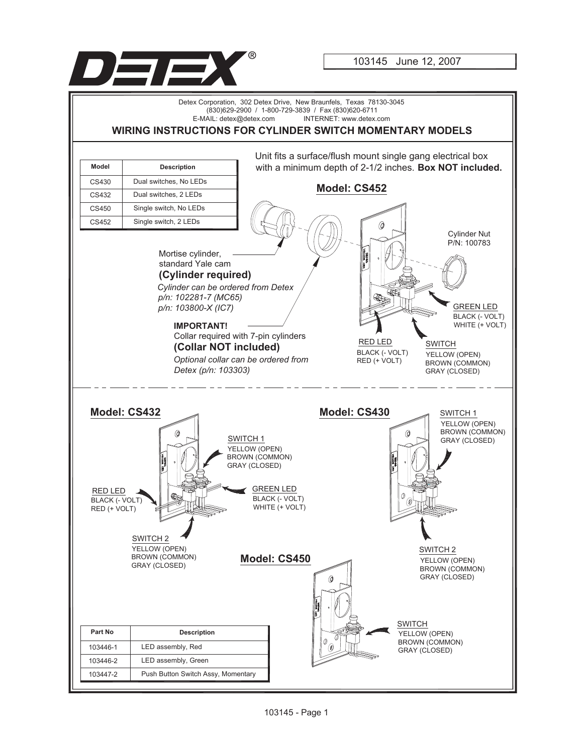

103145 June 12, 2007